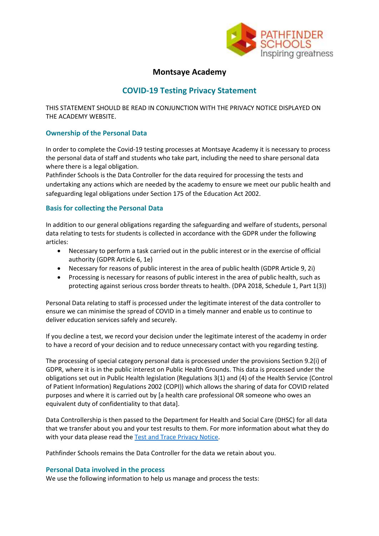

## **Montsaye Academy**

# **COVID-19 Testing Privacy Statement**

THIS STATEMENT SHOULD BE READ IN CONJUNCTION WITH THE PRIVACY NOTICE DISPLAYED ON THE ACADEMY WEBSITE.

## **Ownership of the Personal Data**

In order to complete the Covid-19 testing processes at Montsaye Academy it is necessary to process the personal data of staff and students who take part, including the need to share personal data where there is a legal obligation.

Pathfinder Schools is the Data Controller for the data required for processing the tests and undertaking any actions which are needed by the academy to ensure we meet our public health and safeguarding legal obligations under Section 175 of the Education Act 2002.

## **Basis for collecting the Personal Data**

In addition to our general obligations regarding the safeguarding and welfare of students, personal data relating to tests for students is collected in accordance with the GDPR under the following articles:

- Necessary to perform a task carried out in the public interest or in the exercise of official authority (GDPR Article 6, 1e)
- Necessary for reasons of public interest in the area of public health (GDPR Article 9, 2i)
- Processing is necessary for reasons of public interest in the area of public health, such as protecting against serious cross border threats to health. (DPA 2018, Schedule 1, Part 1(3))

Personal Data relating to staff is processed under the legitimate interest of the data controller to ensure we can minimise the spread of COVID in a timely manner and enable us to continue to deliver education services safely and securely.

If you decline a test, we record your decision under the legitimate interest of the academy in order to have a record of your decision and to reduce unnecessary contact with you regarding testing.

The processing of special category personal data is processed under the provisions Section 9.2(i) of GDPR, where it is in the public interest on Public Health Grounds. This data is processed under the obligations set out in Public Health legislation (Regulations 3(1) and (4) of the Health Service (Control of Patient Information) Regulations 2002 (COPI)) which allows the sharing of data for COVID related purposes and where it is carried out by [a health care professional OR someone who owes an equivalent duty of confidentiality to that data].

Data Controllership is then passed to the Department for Health and Social Care (DHSC) for all data that we transfer about you and your test results to them. For more information about what they do with your data please read the Test and Trace [Privacy](https://www.gov.uk/government/publications/nhs-covid-19-app-privacy-information/nhs-test-and-trace-app-early-adopter-trial-august-2020-privacy-notice) Notice.

Pathfinder Schools remains the Data Controller for the data we retain about you.

## **Personal Data involved in the process**

We use the following information to help us manage and process the tests: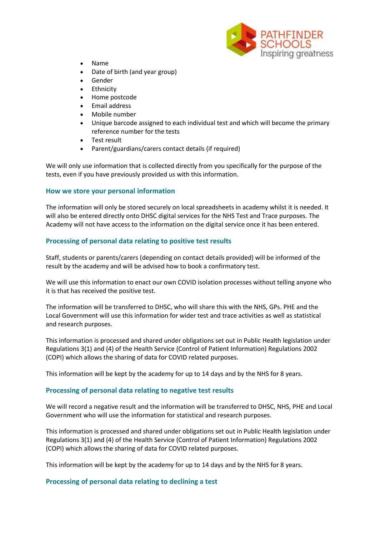

- Name
- Date of birth (and year group)
- **Gender**
- **Ethnicity**
- Home postcode
- Email address
- Mobile number
- Unique barcode assigned to each individual test and which will become the primary reference number for the tests
- Test result
- Parent/guardians/carers contact details (if required)

We will only use information that is collected directly from you specifically for the purpose of the tests, even if you have previously provided us with this information.

#### **How we store your personal information**

The information will only be stored securely on local spreadsheets in academy whilst it is needed. It will also be entered directly onto DHSC digital services for the NHS Test and Trace purposes. The Academy will not have access to the information on the digital service once it has been entered.

## **Processing of personal data relating to positive test results**

Staff, students or parents/carers (depending on contact details provided) will be informed of the result by the academy and will be advised how to book a confirmatory test.

We will use this information to enact our own COVID isolation processes without telling anyone who it is that has received the positive test.

The information will be transferred to DHSC, who will share this with the NHS, GPs. PHE and the Local Government will use this information for wider test and trace activities as well as statistical and research purposes.

This information is processed and shared under obligations set out in Public Health legislation under Regulations 3(1) and (4) of the Health Service (Control of Patient Information) Regulations 2002 (COPI) which allows the sharing of data for COVID related purposes.

This information will be kept by the academy for up to 14 days and by the NHS for 8 years.

#### **Processing of personal data relating to negative test results**

We will record a negative result and the information will be transferred to DHSC, NHS, PHE and Local Government who will use the information for statistical and research purposes.

This information is processed and shared under obligations set out in Public Health legislation under Regulations 3(1) and (4) of the Health Service (Control of Patient Information) Regulations 2002 (COPI) which allows the sharing of data for COVID related purposes.

This information will be kept by the academy for up to 14 days and by the NHS for 8 years.

#### **Processing of personal data relating to declining a test**